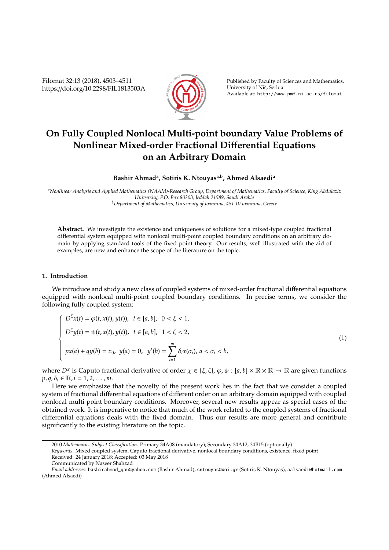Filomat 32:13 (2018), 4503–4511 https://doi.org/10.2298/FIL1813503A



Published by Faculty of Sciences and Mathematics, University of Niš, Serbia Available at: http://www.pmf.ni.ac.rs/filomat

# **On Fully Coupled Nonlocal Multi-point boundary Value Problems of Nonlinear Mixed-order Fractional Di**ff**erential Equations on an Arbitrary Domain**

**Bashir Ahmad<sup>a</sup> , Sotiris K. Ntouyasa,b, Ahmed Alsaedi<sup>a</sup>**

*<sup>a</sup>Nonlinear Analysis and Applied Mathematics (NAAM)-Research Group, Department of Mathematics, Faculty of Science, King Abdulaziz University, P.O. Box 80203, Jeddah 21589, Saudi Arabia <sup>b</sup>Department of Mathematics, University of Ioannina, 451 10 Ioannina, Greece*

**Abstract.** We investigate the existence and uniqueness of solutions for a mixed-type coupled fractional differential system equipped with nonlocal multi-point coupled boundary conditions on an arbitrary domain by applying standard tools of the fixed point theory. Our results, well illustrated with the aid of examples, are new and enhance the scope of the literature on the topic.

## **1. Introduction**

We introduce and study a new class of coupled systems of mixed-order fractional differential equations equipped with nonlocal multi-point coupled boundary conditions. In precise terms, we consider the following fully coupled system:

$$
\begin{cases}\nD^{\xi}x(t) = \varphi(t, x(t), y(t)), \ t \in [a, b], \ 0 < \xi < 1, \\
D^{\zeta}y(t) = \psi(t, x(t), y(t)), \ t \in [a, b], \ 1 < \zeta < 2, \\
px(a) + qy(b) = x_0, \ y(a) = 0, \ y'(b) = \sum_{i=1}^{m} \delta_i x(\sigma_i), \ a < \sigma_i < b,\n\end{cases}
$$
\n(1)

where  $D^{\chi}$  is Caputo fractional derivative of order  $\chi \in \{\xi, \zeta\}, \varphi, \psi : [a, b] \times \mathbb{R} \times \mathbb{R} \to \mathbb{R}$  are given functions  $p, q, \delta_i \in \mathbb{R}, i = 1, 2, ..., m$ .

Here we emphasize that the novelty of the present work lies in the fact that we consider a coupled system of fractional differential equations of different order on an arbitrary domain equipped with coupled nonlocal multi-point boundary conditions. Moreover, several new results appear as special cases of the obtained work. It is imperative to notice that much of the work related to the coupled systems of fractional differential equations deals with the fixed domain. Thus our results are more general and contribute significantly to the existing literature on the topic.

Received: 24 January 2018; Accepted: 03 May 2018

<sup>2010</sup> *Mathematics Subject Classification*. Primary 34A08 (mandatory); Secondary 34A12, 34B15 (optionally)

*Keywords*. Mixed coupled system, Caputo fractional derivative, nonlocal boundary conditions, existence, fixed point

Communicated by Naseer Shahzad

*Email addresses:* bashirahmad\_qau@yahoo.com (Bashir Ahmad), sntouyas@uoi.gr (Sotiris K. Ntouyas), aalsaedi@hotmail.com (Ahmed Alsaedi)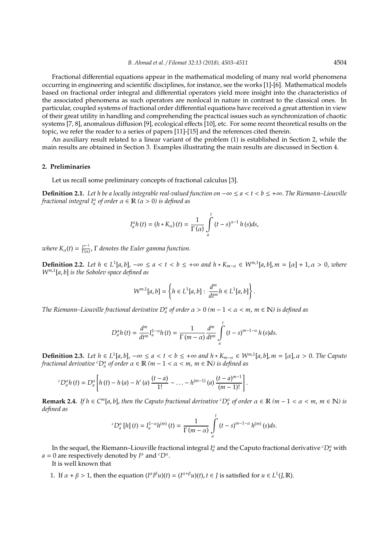Fractional differential equations appear in the mathematical modeling of many real world phenomena occurring in engineering and scientific disciplines, for instance, see the works [1]-[6]. Mathematical models based on fractional order integral and differential operators yield more insight into the characteristics of the associated phenomena as such operators are nonlocal in nature in contrast to the classical ones. In particular, coupled systems of fractional order differential equations have received a great attention in view of their great utility in handling and comprehending the practical issues such as synchronization of chaotic systems [7, 8], anomalous diffusion [9], ecological effects [10], etc. For some recent theoretical results on the topic, we refer the reader to a series of papers [11]-[15] and the references cited therein.

An auxiliary result related to a linear variant of the problem (1) is established in Section 2, while the main results are obtained in Section 3. Examples illustrating the main results are discussed in Section 4.

### **2. Preliminaries**

Let us recall some preliminary concepts of fractional calculus [3].

**Definition 2.1.** *Let h be a locally integrable real-valued function on* −∞ ≤ *a* < *t* < *b* ≤ +∞. *The Riemann–Liouville fractional integral*  $I^{\alpha}_{a}$  *of order*  $\alpha \in \mathbb{R}$  ( $\alpha > 0$ ) *is defined as* 

$$
I_a^{\alpha}h(t) = (h * K_{\alpha})(t) = \frac{1}{\Gamma(\alpha)} \int_a^t (t - s)^{\alpha - 1} h(s) ds,
$$

*where*  $K_{\alpha}(t) = \frac{t^{\alpha-1}}{\Gamma(\alpha)}$  $\frac{f^{n-1}}{\Gamma(\alpha)}$ ,  $\Gamma$  denotes the Euler gamma function.

**Definition 2.2.** Let  $h \in L^1[a,b]$ ,  $-\infty \le a < t < b \le +\infty$  and  $h * K_{m-\alpha} \in W^{m,1}[a,b]$ ,  $m = [\alpha] + 1, \alpha > 0$ , where *Wm*,<sup>1</sup> [*a*, *b*] *is the Sobolev space defined as*

$$
W^{m,1}[a,b] = \left\{ h \in L^1[a,b] : \frac{d^m}{dt^m} h \in L^1[a,b] \right\}.
$$

*The Riemann–Liouville fractional derivative*  $D_a^{\alpha}$  *of order*  $\alpha > 0$  *(m – 1 <*  $\alpha$  *< m, m*  $\in \mathbb{N}$ *) is defined as* 

$$
D_a^{\alpha}h(t) = \frac{d^m}{dt^m}I_a^{1-\alpha}h(t) = \frac{1}{\Gamma(m-\alpha)}\frac{d^m}{dt^m}\int_a^t (t-s)^{m-1-\alpha}h(s)ds.
$$

**Definition 2.3.** Let  $h \in L^1[a,b]$ ,  $-\infty \le a < t < b \le +\infty$  and  $h * K_{m-\alpha} \in W^{m,1}[a,b]$ ,  $m = [\alpha]$ ,  $\alpha > 0$ . The Caputo *fractional derivative* <sup>*c*</sup> $D_a^{\alpha}$  *of order*  $\alpha \in \mathbb{R}$  (*m* − 1 <  $\alpha$  < *m*, *m* ∈  $\mathbb{N}$ ) *is defined as* 

$$
{}^{c}D_{a}^{\alpha}h(t) = D_{a}^{\alpha}\left[h(t) - h(a) - h'(a)\frac{(t-a)}{1!} - \ldots - h^{(m-1)}(a)\frac{(t-a)^{m-1}}{(m-1)!}\right].
$$

**Remark 2.4.** *If*  $h \in C^m[a, b]$ , then the Caputo fractional derivative <sup>*c*</sup>D<sub>a</sub><sup> $\alpha$ </sup> of order  $\alpha \in \mathbb{R}$  ( $m-1 < \alpha < m$ ,  $m \in \mathbb{N}$ ) is *defined as*

$$
{}^{c}D_{a}^{\alpha}\left[h\right](t)=I_{a}^{1-\alpha}h^{(m)}\left(t\right)=\frac{1}{\Gamma\left(m-\alpha\right)}\int\limits_{a}^{t}\left(t-s\right)^{m-1-\alpha}h^{(m)}\left(s\right)ds.
$$

In the sequel, the Riemann–Liouville fractional integral  $I_a^{\alpha}$  and the Caputo fractional derivative  ${}^cD_a^{\alpha}$  with  $a = 0$  are respectively denoted by  $I^{\alpha}$  and  ${}^{c}D^{\alpha}$ .

It is well known that

1. If  $\alpha + \beta > 1$ , then the equation  $(I^{\alpha}I^{\beta}u)(t) = (I^{\alpha+\beta}u)(t)$ ,  $t \in J$  is satisfied for  $u \in L^1(J, \mathbb{R})$ .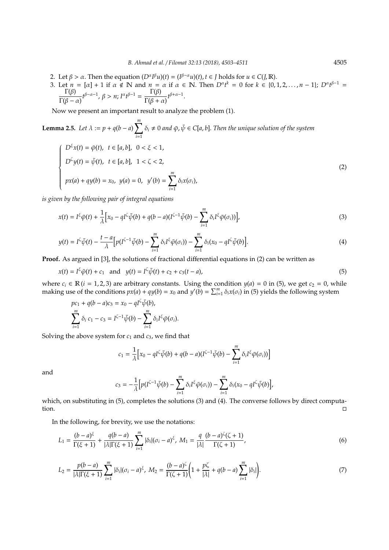- 2. Let  $\beta > \alpha$ . Then the equation  $(D^{\alpha}I^{\beta}u)(t) = (I^{\beta-\alpha}u)(t), t \in J$  holds for  $u \in C(J, \mathbb{R})$ .
- 3. Let  $n = [\alpha] + 1$  if  $\alpha \notin \mathbb{N}$  and  $n = \alpha$  if  $\alpha \in \mathbb{N}$ . Then  $D^{\alpha}t^k = 0$  for  $k \in \{0, 1, 2, ..., n 1\}$ ;  $D^{\alpha}t^{\beta 1} =$  $\Gamma(\beta)$  $\frac{\Gamma(\beta)}{\Gamma(\beta-\alpha)}t^{\beta-\alpha-1}, \ \beta>n; \ I^{\alpha}t^{\beta-1} = \frac{\Gamma(\beta)}{\Gamma(\beta+\alpha)}.$  $\frac{1(\beta)}{\Gamma(\beta+\alpha)}t^{\beta+\alpha-1}.$

Now we present an important result to analyze the problem (1).

**Lemma 2.5.** Let 
$$
\lambda := p + q(b - a) \sum_{i=1}^{m} \delta_i \neq 0
$$
 and  $\bar{\varphi}, \bar{\psi} \in C[a, b]$ . Then the unique solution of the system\n
$$
\begin{cases}\nD^{\xi}x(t) = \bar{\varphi}(t), \quad t \in [a, b], \quad 0 < \xi < 1, \\
D^{\zeta}y(t) = \bar{\psi}(t), \quad t \in [a, b], \quad 1 < \zeta < 2, \\
px(a) + qy(b) = x_0, \quad y(a) = 0, \quad y'(b) = \sum_{i=1}^{m} \delta_i x(\sigma_i),\n\end{cases} \tag{2}
$$

*is given by the following pair of integral equations*

$$
x(t) = I^{\xi} \bar{\varphi}(t) + \frac{1}{\lambda} \Big[ x_0 - qI^{\zeta} \bar{\psi}(b) + q(b-a)(I^{\zeta-1} \bar{\psi}(b) - \sum_{i=1}^{m} \delta_i I^{\xi} \bar{\varphi}(\sigma_i)) \Big], \tag{3}
$$

$$
y(t) = I^{\zeta}\bar{\psi}(t) - \frac{t-a}{\lambda} \Big[ p(I^{\zeta-1}\bar{\psi}(b) - \sum_{i=1}^{m} \delta_i I^{\xi} \bar{\varphi}(\sigma_i)) - \sum_{i=1}^{m} \delta_i (x_0 - qI^{\zeta}\bar{\psi}(b)) \Big].
$$
 (4)

**Proof.** As argued in [3], the solutions of fractional differential equations in (2) can be written as

$$
x(t) = I^{\xi}\bar{\varphi}(t) + c_1 \quad \text{and} \quad y(t) = I^{\zeta}\bar{\psi}(t) + c_2 + c_3(t - a), \tag{5}
$$

where  $c_i \in \mathbb{R}$  (*i* = 1, 2, 3) are arbitrary constants. Using the condition  $y(a) = 0$  in (5), we get  $c_2 = 0$ , while making use of the conditions  $px(a) + qy(b) = x_0$  and  $y'(b) = \sum_{i=1}^{m} \delta_i x(\sigma_i)$  in (5) yields the following system

$$
pc_1 + q(b-a)c_3 = x_0 - qI^{\zeta}\bar{\psi}(b),
$$
  

$$
\sum_{i=1}^m \delta_i c_1 - c_3 = I^{\zeta-1}\bar{\psi}(b) - \sum_{i=1}^m \delta_i I^{\zeta}\bar{\varphi}(\sigma_i).
$$

Solving the above system for  $c_1$  and  $c_3$ , we find that

$$
c_1 = \frac{1}{\lambda} \Big[ x_0 - qI^{\zeta} \bar{\psi}(b) + q(b-a)(I^{\zeta-1} \bar{\psi}(b) - \sum_{i=1}^m \delta_i I^{\zeta} \bar{\varphi}(\sigma_i)) \Big]
$$

and

$$
c_3 = -\frac{1}{\lambda} \Big[ p(I^{\zeta-1} \bar{\psi}(b) - \sum_{i=1}^m \delta_i I^{\xi} \bar{\varphi}(\sigma_i)) - \sum_{i=1}^m \delta_i (x_0 - q I^{\zeta} \bar{\psi}(b)) \Big],
$$

which, on substituting in (5), completes the solutions (3) and (4). The converse follows by direct computation.

In the following, for brevity, we use the notations:

$$
L_1 = \frac{(b-a)^{\xi}}{\Gamma(\xi+1)} + \frac{q(b-a)}{|\lambda|\Gamma(\xi+1)} \sum_{i=1}^m |\delta_i| (\sigma_i - a)^{\xi}, \ M_1 = \frac{q}{|\lambda|} \frac{(b-a)^{\zeta}(\zeta+1)}{\Gamma(\zeta+1)}, \tag{6}
$$

$$
L_2 = \frac{p(b-a)}{|\lambda|\Gamma(\xi+1)} \sum_{i=1}^m |\delta_i| (\sigma_i - a)^{\xi}, \ M_2 = \frac{(b-a)^{\zeta}}{\Gamma(\zeta+1)} \bigg(1 + \frac{p\zeta}{|\lambda|} + q(b-a) \sum_{i=1}^m |\delta_i|\bigg). \tag{7}
$$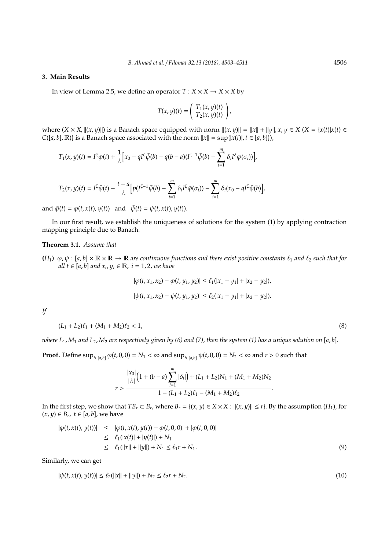## **3. Main Results**

In view of Lemma 2.5, we define an operator  $T : X \times X \rightarrow X \times X$  by

$$
T(x, y)(t) = \begin{pmatrix} T_1(x, y)(t) \\ T_2(x, y)(t) \end{pmatrix},
$$

where  $(X \times X, \|(x, y)\|)$  is a Banach space equipped with norm  $\|(x, y)\| = \|x\| + \|y\|$ ,  $x, y \in X$   $(X = \{x(t)|x(t) \in X\})$ *C*([*a*, *b*], **R**)} is a Banach space associated with the norm  $||x|| = \sup\{|x(t)|, t \in [a, b]\}\)$ ,

$$
T_1(x,y)(t)=I^{\xi}\bar{\varphi}(t)+\frac{1}{\lambda}\Big[x_0-qI^{\zeta}\bar{\psi}(b)+q(b-a)(I^{\zeta-1}\bar{\psi}(b)-\sum_{i=1}^m\delta_iI^{\xi}\bar{\varphi}(\sigma_i))\Big],
$$

$$
T_2(x,y)(t)=I^{\zeta}\bar{\psi}(t)-\frac{t-a}{\lambda}\Big[p(I^{\zeta-1}\bar{\psi}(b)-\sum_{i=1}^m\delta_iI^{\zeta}\bar{\varphi}(\sigma_i))-\sum_{i=1}^m\delta_i(x_0-qI^{\zeta}\bar{\psi}(b)\Big],
$$

and  $\bar{\varphi}(t) = \varphi(t, x(t), y(t))$  and  $\bar{\psi}(t) = \psi(t, x(t), y(t)).$ 

In our first result, we establish the uniqueness of solutions for the system (1) by applying contraction mapping principle due to Banach.

### **Theorem 3.1.** *Assume that*

 $(H_1)$   $\varphi, \psi : [a, b] \times \mathbb{R} \times \mathbb{R} \to \mathbb{R}$  *are continuous functions and there exist positive constants*  $\ell_1$  *and*  $\ell_2$  *such that for all t* ∈ [*a*, *b*] *and x<sup>i</sup>* , *y<sup>i</sup>* ∈ R, *i* = 1, 2, *we have*

$$
|\varphi(t, x_1, x_2) - \varphi(t, y_1, y_2)| \le \ell_1(|x_1 - y_1| + |x_2 - y_2|),
$$
  

$$
|\psi(t, x_1, x_2) - \psi(t, y_1, y_2)| \le \ell_2(|x_1 - y_1| + |x_2 - y_2|).
$$

*If*

$$
(L_1 + L_2)\ell_1 + (M_1 + M_2)\ell_2 < 1,\tag{8}
$$

*where*  $L_1$ ,  $M_1$  and  $L_2$ ,  $M_2$  are respectively given by (6) and (7), then the system (1) has a unique solution on [a, b].

**Proof.** Define  $\sup_{t \in [a,b]} \varphi(t,0,0) = N_1 < \infty$  and  $\sup_{t \in [a,b]} \psi(t,0,0) = N_2 < \infty$  and  $r > 0$  such that

$$
r>\frac{\frac{|x_0|}{|\lambda|}\Big(1+(b-a)\sum_{i=1}^m|\delta_i|\Big)+(L_1+L_2)N_1+(M_1+M_2)N_2}{1-(L_1+L_2)\ell_1-(M_1+M_2)\ell_2}.
$$

In the first step, we show that  $TB_r \subset B_r$ , where  $B_r = \{(x, y) \in X \times X : ||(x, y)|| \le r\}$ . By the assumption  $(H_1)$ , for  $(x, y) ∈ B<sub>r</sub>, t ∈ [a, b],$  we have

$$
|\varphi(t, x(t), y(t))| \leq |\varphi(t, x(t), y(t)) - \varphi(t, 0, 0)| + |\varphi(t, 0, 0)|
$$
  
\n
$$
\leq \ell_1(|x(t)| + |y(t)|) + N_1
$$
  
\n
$$
\leq \ell_1(||x|| + ||y||) + N_1 \leq \ell_1 r + N_1.
$$
\n(9)

Similarly, we can get

$$
|\psi(t, x(t), y(t))| \le \ell_2(||x|| + ||y||) + N_2 \le \ell_2 r + N_2. \tag{10}
$$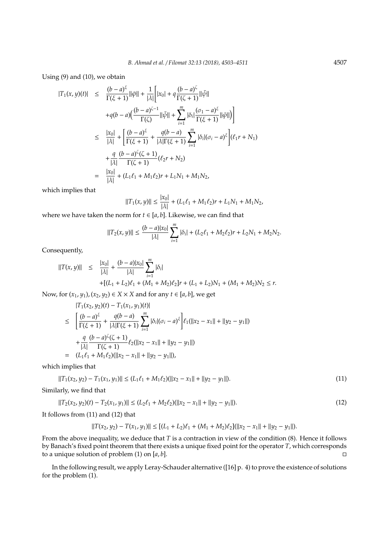Using (9) and (10), we obtain

$$
|T_{1}(x,y)(t)| \leq \frac{(b-a)^{\xi}}{\Gamma(\xi+1)} ||\bar{\varphi}|| + \frac{1}{|\lambda|} \Big[ |x_{0}| + q \frac{(b-a)^{\zeta}}{\Gamma(\zeta+1)} ||\bar{\psi}||
$$
  
+
$$
+q(b-a) \Big( \frac{(b-a)^{\zeta-1}}{\Gamma(\zeta)} ||\bar{\psi}|| + \sum_{i=1}^{m} |\delta_{i}| \frac{(\sigma_{1}-a)^{\xi}}{\Gamma(\xi+1)} ||\bar{\varphi}|| \Big) \Big]
$$
  

$$
\leq \frac{|x_{0}|}{|\lambda|} + \Big[ \frac{(b-a)^{\xi}}{\Gamma(\xi+1)} + \frac{q(b-a)}{|\lambda| \Gamma(\xi+1)} \sum_{i=1}^{m} |\delta_{i}| (\sigma_{i}-a)^{\xi} \Big] (\ell_{1}r + N_{1})
$$
  
+
$$
\frac{q}{|\lambda|} \frac{(b-a)^{\zeta}(\zeta+1)}{\Gamma(\zeta+1)} (\ell_{2}r + N_{2})
$$
  
= 
$$
\frac{|x_{0}|}{|\lambda|} + (L_{1}\ell_{1} + M_{1}\ell_{2})r + L_{1}N_{1} + M_{1}N_{2},
$$

which implies that

$$
||T_1(x,y)|| \le \frac{|x_0|}{|\lambda|} + (L_1 \ell_1 + M_1 \ell_2) r + L_1 N_1 + M_1 N_2,
$$

where we have taken the norm for  $t \in [a, b]$ . Likewise, we can find that

$$
||T_2(x,y)|| \leq \frac{(b-a)|x_0|}{|\lambda|} \sum_{i=1}^m |\delta_i| + (L_2 \ell_1 + M_2 \ell_2) r + L_2 N_1 + M_2 N_2.
$$

Consequently,

$$
\begin{array}{rcl}\n||T(x,y)|| & \leq & \frac{|x_0|}{|\lambda|} + \frac{(b-a)|x_0|}{|\lambda|} \sum_{i=1}^m |\delta_i| \\
& & + [(L_1 + L_2)\ell_1 + (M_1 + M_2)\ell_2]r + (L_1 + L_2)N_1 + (M_1 + M_2)N_2 \leq r.\n\end{array}
$$

Now, for  $(x_1, y_1)$ ,  $(x_2, y_2) \in X \times X$  and for any  $t \in [a, b]$ , we get

$$
|T_1(x_2, y_2)(t) - T_1(x_1, y_1)(t)|
$$
  
\n
$$
\leq \left[ \frac{(b-a)^{\xi}}{\Gamma(\xi+1)} + \frac{q(b-a)}{|\lambda|\Gamma(\xi+1)} \sum_{i=1}^m |\delta_i| (\sigma_i - a)^{\xi} \right] \ell_1(||x_2 - x_1|| + ||y_2 - y_1||)
$$
  
\n
$$
+ \frac{q}{|\lambda|} \frac{(b-a)^{\zeta}(\zeta+1)}{\Gamma(\zeta+1)} \ell_2(||x_2 - x_1|| + ||y_2 - y_1||)
$$
  
\n
$$
= (L_1 \ell_1 + M_1 \ell_2)(||x_2 - x_1|| + ||y_2 - y_1||),
$$

which implies that

$$
||T_1(x_2, y_2) - T_1(x_1, y_1)|| \le (L_1 \ell_1 + M_1 \ell_2)(||x_2 - x_1|| + ||y_2 - y_1||). \tag{11}
$$

Similarly, we find that

$$
||T_2(x_2, y_2)(t) - T_2(x_1, y_1)|| \le (L_2\ell_1 + M_2\ell_2)(||x_2 - x_1|| + ||y_2 - y_1||). \tag{12}
$$

It follows from (11) and (12) that

$$
||T(x_2, y_2) - T(x_1, y_1)|| \le [(L_1 + L_2)\ell_1 + (M_1 + M_2)\ell_2] (||x_2 - x_1|| + ||y_2 - y_1||).
$$

From the above inequality, we deduce that *T* is a contraction in view of the condition (8). Hence it follows by Banach's fixed point theorem that there exists a unique fixed point for the operator *T*, which corresponds to a unique solution of problem (1) on  $[a, b]$ .

In the following result, we apply Leray-Schauder alternative ([16] p. 4) to prove the existence of solutions for the problem (1).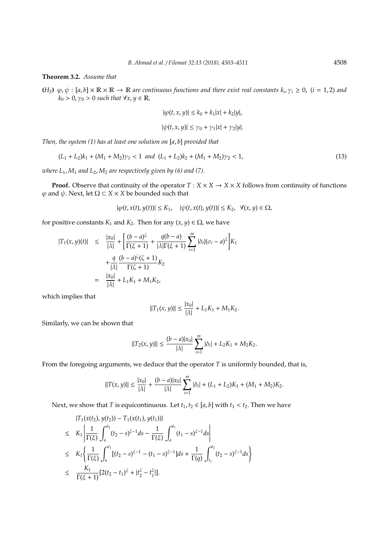**Theorem 3.2.** *Assume that*

 $(H_2)$   $\varphi, \psi : [a, b] \times \mathbb{R} \times \mathbb{R} \to \mathbb{R}$  are continuous functions and there exist real constants  $k_i, \gamma_i \ge 0$ , (*i* = 1, 2) and  $k_0 > 0$ ,  $\gamma_0 > 0$  *such that*  $\forall x, y \in \mathbb{R}$ ,

$$
|\varphi(t, x, y)| \le k_0 + k_1 |x| + k_2 |y|,
$$
  

$$
|\psi(t, x, y)| \le \gamma_0 + \gamma_1 |x| + \gamma_2 |y|.
$$

*Then, the system (1) has at least one solution on* [*a*, *b*] *provided that*

$$
(L_1 + L_2)k_1 + (M_1 + M_2)\gamma_1 < 1 \quad \text{and} \quad (L_1 + L_2)k_2 + (M_1 + M_2)\gamma_2 < 1,\tag{13}
$$

*where*  $L_1$ ,  $M_1$  *and*  $L_2$ ,  $M_2$  *are respectively given by (6) and (7).* 

**Proof.** Observe that continuity of the operator  $T : X \times X \rightarrow X \times X$  follows from continuity of functions  $\varphi$  and  $\psi$ . Next, let  $\Omega \subset X \times X$  be bounded such that

$$
|\varphi(t,x(t),y(t))| \leq K_1, \quad |\psi(t,x(t),y(t))| \leq K_2, \ \forall (x,y) \in \Omega,
$$

for positive constants  $K_1$  and  $K_2$ . Then for any  $(x, y) \in \Omega$ , we have

$$
|T_1(x, y)(t)| \leq \frac{|x_0|}{|\lambda|} + \left[ \frac{(b-a)^{\xi}}{\Gamma(\xi+1)} + \frac{q(b-a)}{|\lambda| \Gamma(\xi+1)} \sum_{i=1}^m |\delta_i| (\sigma_i - a)^{\xi} \right] K_1
$$
  
+ 
$$
\frac{q}{|\lambda|} \frac{(b-a)^{\zeta}(\zeta+1)}{\Gamma(\zeta+1)} K_2
$$
  
= 
$$
\frac{|x_0|}{|\lambda|} + L_1 K_1 + M_1 K_2,
$$

which implies that

$$
||T_1(x,y)|| \le \frac{|x_0|}{|\lambda|} + L_1 K_1 + M_1 K_2.
$$

Similarly, we can be shown that

$$
||T_2(x,y)|| \leq \frac{(b-a)|x_0|}{|\lambda|} \sum_{i=1}^m |\delta_i| + L_2 K_1 + M_2 K_2.
$$

From the foregoing arguments, we deduce that the operator *T* is uniformly bounded, that is,

$$
||T(x,y)|| \leq \frac{|x_0|}{|\lambda|} + \frac{(b-a)|x_0|}{|\lambda|} \sum_{i=1}^m |\delta_i| + (L_1 + L_2)K_1 + (M_1 + M_2)K_2.
$$

Next, we show that *T* is equicontinuous. Let  $t_1, t_2 \in [a, b]$  with  $t_1 < t_2$ . Then we have

$$
|T_{1}(x(t_{2}), y(t_{2})) - T_{1}(x(t_{1}), y(t_{1}))|
$$
  
\n
$$
\leq K_{1} \left| \frac{1}{\Gamma(\xi)} \int_{a}^{t_{2}} (t_{2} - s)^{\xi - 1} ds - \frac{1}{\Gamma(\xi)} \int_{a}^{t_{1}} (t_{1} - s)^{\xi - 1} ds \right|
$$
  
\n
$$
\leq K_{1} \left\{ \frac{1}{\Gamma(\xi)} \int_{a}^{t_{1}} [(t_{2} - s)^{\xi - 1} - (t_{1} - s)^{\xi - 1}] ds + \frac{1}{\Gamma(q)} \int_{t_{1}}^{t_{2}} (t_{2} - s)^{\xi - 1} ds \right\}
$$
  
\n
$$
\leq \frac{K_{1}}{\Gamma(\xi + 1)} [2(t_{2} - t_{1})^{\xi} + |t_{2}^{\xi} - t_{1}^{\xi}|].
$$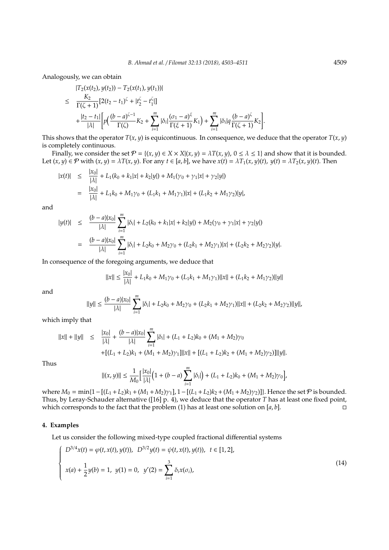Analogously, we can obtain

$$
|T_2(x(t_2), y(t_2)) - T_2(x(t_1), y(t_1))|
$$
  
\n
$$
\leq \frac{K_2}{\Gamma(\zeta + 1)} [2(t_2 - t_1)^{\zeta} + |t_2^{\zeta} - t_1^{\zeta}|]
$$
  
\n
$$
+ \frac{|t_2 - t_1|}{|\lambda|} \Bigg[ p \Big( \frac{(b - a)^{\zeta - 1}}{\Gamma(\zeta)} K_2 + \sum_{i=1}^m |\delta_i| \frac{(\sigma_1 - a)^{\zeta}}{\Gamma(\zeta + 1)} K_1 \Big) + \sum_{i=1}^m |\delta_i| q \frac{(b - a)^{\zeta}}{\Gamma(\zeta + 1)} K_2 \Bigg].
$$

This shows that the operator  $T(x, y)$  is equicontinuous. In consequence, we deduce that the operator  $T(x, y)$ is completely continuous.

Finally, we consider the set  $P = \{(x, y) \in X \times X | (x, y) = \lambda T(x, y), 0 \le \lambda \le 1\}$  and show that it is bounded. Let  $(x, y) \in \mathcal{P}$  with  $(x, y) = \lambda T(x, y)$ . For any  $t \in [a, b]$ , we have  $x(t) = \lambda T_1(x, y)(t)$ ,  $y(t) = \lambda T_2(x, y)(t)$ . Then

$$
|x(t)| \leq \frac{|x_0|}{|\lambda|} + L_1(k_0 + k_1|x| + k_2|y|) + M_1(\gamma_0 + \gamma_1|x| + \gamma_2|y|)
$$
  
= 
$$
\frac{|x_0|}{|\lambda|} + L_1k_0 + M_1\gamma_0 + (L_1k_1 + M_1\gamma_1)|x| + (L_1k_2 + M_1\gamma_2)|y|,
$$

and

$$
|y(t)| \leq \frac{(b-a)|x_0|}{|\lambda|} \sum_{i=1}^m |\delta_i| + L_2(k_0 + k_1|x| + k_2|y|) + M_2(\gamma_0 + \gamma_1|x| + \gamma_2|y|)
$$
  
= 
$$
\frac{(b-a)|x_0|}{|\lambda|} \sum_{i=1}^m |\delta_i| + L_2k_0 + M_2\gamma_0 + (L_2k_1 + M_2\gamma_1)|x| + (L_2k_2 + M_2\gamma_2)|y|.
$$

In consequence of the foregoing arguments, we deduce that

$$
||x|| \le \frac{|x_0|}{|\lambda|} + L_1 k_0 + M_1 \gamma_0 + (L_1 k_1 + M_1 \gamma_1) ||x|| + (L_1 k_2 + M_1 \gamma_2) ||y||
$$

and

$$
||y|| \leq \frac{(b-a)|x_0|}{|\lambda|} \sum_{i=1}^m |\delta_i| + L_2 k_0 + M_2 \gamma_0 + (L_2 k_1 + M_2 \gamma_1) ||x|| + (L_2 k_2 + M_2 \gamma_2) ||y||,
$$

which imply that

$$
||x|| + ||y|| \le \frac{|x_0|}{|\lambda|} + \frac{(b-a)|x_0|}{|\lambda|} \sum_{i=1}^m |\delta_i| + (L_1 + L_2)k_0 + (M_1 + M_2)\gamma_0
$$
  
+ 
$$
[ (L_1 + L_2)k_1 + (M_1 + M_2)\gamma_1] ||x|| + [(L_1 + L_2)k_2 + (M_1 + M_2)\gamma_2)] ||y||.
$$

Thus

$$
||(x,y)|| \leq \frac{1}{M_0} \Big[ \frac{|x_0|}{|\lambda|} \Big( 1 + (b-a) \sum_{i=1}^m |\delta_i| \Big) + (L_1 + L_2) k_0 + (M_1 + M_2) \gamma_0 \Big],
$$

where  $M_0 = \min\{1 - [(L_1 + L_2)k_1 + (M_1 + M_2)\gamma_1], 1 - [(L_1 + L_2)k_2 + (M_1 + M_2)\gamma_2]\}$ . Hence the set  $P$  is bounded. Thus, by Leray-Schauder alternative ([16] p. 4), we deduce that the operator *T* has at least one fixed point, which corresponds to the fact that the problem (1) has at least one solution on  $[a, b]$ .

## **4. Examples**

Let us consider the following mixed-type coupled fractional differential systems

$$
\begin{cases}\nD^{3/4}x(t) = \varphi(t, x(t), y(t)), \ D^{3/2}y(t) = \psi(t, x(t), y(t)), \ t \in [1, 2], \\
x(a) + \frac{1}{2}y(b) = 1, \ y(1) = 0, \ y'(2) = \sum_{i=1}^{3} \delta_i x(\sigma_i),\n\end{cases}
$$
\n(14)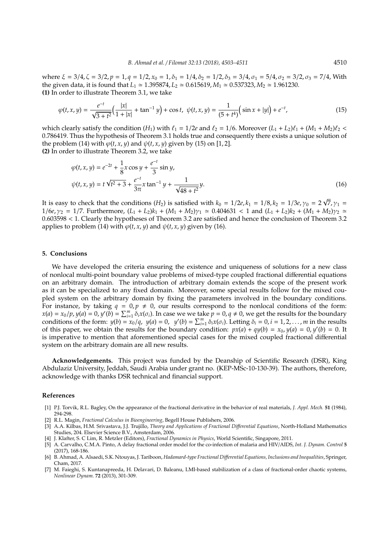where  $\xi = 3/4$ ,  $\zeta = 3/2$ ,  $p = 1$ ,  $q = 1/2$ ,  $x_0 = 1$ ,  $\delta_1 = 1/4$ ,  $\delta_2 = 1/2$ ,  $\delta_3 = 3/4$ ,  $\sigma_1 = 5/4$ ,  $\sigma_2 = 3/2$ ,  $\sigma_3 = 7/4$ , With the given data, it is found that  $L_1 \approx 1.395874$ ,  $L_2 \approx 0.615619$ ,  $M_1 \approx 0.537323$ ,  $M_2 \approx 1.961230$ . **(1)** In order to illustrate Theorem 3.1, we take

$$
\varphi(t, x, y) = \frac{e^{-t}}{\sqrt{3+t^2}} \Big( \frac{|x|}{1+|x|} + \tan^{-1} y \Big) + \cos t, \quad \psi(t, x, y) = \frac{1}{(5+t^4)} \Big( \sin x + |y| \Big) + e^{-t}, \tag{15}
$$

which clearly satisfy the condition  $(H_1)$  with  $\ell_1 = 1/2e$  and  $\ell_2 = 1/6$ . Moreover  $(L_1 + L_2)\ell_1 + (M_1 + M_2)\ell_2$  < 0.786419. Thus the hypothesis of Theorem 3.1 holds true and consequently there exists a unique solution of the problem (14) with  $\varphi(t, x, y)$  and  $\psi(t, x, y)$  given by (15) on [1, 2]. **(2)** In order to illustrate Theorem 3.2, we take

$$
\varphi(t, x, y) = e^{-2t} + \frac{1}{8}x\cos y + \frac{e^{-t}}{3}\sin y,
$$
  

$$
\psi(t, x, y) = t\sqrt{t^2 + 3} + \frac{e^{-t}}{3\pi}x\tan^{-1}y + \frac{1}{\sqrt{48 + t^2}}y.
$$
 (16)

It is easy to check that the conditions  $(H_2)$  is satisfied with  $k_0 = 1/2e$ ,  $k_1 = 1/8$ ,  $k_2 = 1/3e$ ,  $\gamma_0 = 2\sqrt{7}$ ,  $\gamma_1 =$  $1/6e$ ,  $\gamma_2 = 1/7$ . Furthermore,  $(L_1 + L_2)k_1 + (M_1 + M_2)\gamma_1 \approx 0.404631 < 1$  and  $(L_1 + L_2)k_2 + (M_1 + M_2)\gamma_2 \approx 1/7$ 0.603598 < 1. Clearly the hypotheses of Theorem 3.2 are satisfied and hence the conclusion of Theorem 3.2 applies to problem (14) with  $\varphi(t, x, y)$  and  $\psi(t, x, y)$  given by (16).

## **5. Conclusions**

We have developed the criteria ensuring the existence and uniqueness of solutions for a new class of nonlocal multi-point boundary value problems of mixed-type coupled fractional differential equations on an arbitrary domain. The introduction of arbitrary domain extends the scope of the present work as it can be specialized to any fixed domain. Moreover, some special results follow for the mixed coupled system on the arbitrary domain by fixing the parameters involved in the boundary conditions. For instance, by taking  $q = 0, p \neq 0$ , our results correspond to the nonlocal conditions of the form:  $x(a) = x_0/p$ ,  $y(a) = 0$ ,  $y'(b) = \sum_{i=1}^m \delta_i x(\sigma_i)$ . In case we we take  $p = 0$ ,  $q \neq 0$ , we get the results for the boundary conditions of the form:  $y(b) = x_0/q$ ,  $y(a) = 0$ ,  $y'(b) = \sum_{i=1}^{m} \delta_i x(\sigma_i)$ . Letting  $\delta_i = 0$ ,  $i = 1, 2, ..., m$  in the results of this paper, we obtain the results for the boundary condition:  $px(a) + qy(b) = x_0$ ,  $y(a) = 0$ ,  $y'(b) = 0$ . It is imperative to mention that aforementioned special cases for the mixed coupled fractional differential system on the arbitrary domain are all new results.

**Acknowledgements.** This project was funded by the Deanship of Scientific Research (DSR), King Abdulaziz University, Jeddah, Saudi Arabia under grant no. (KEP-MSc-10-130-39). The authors, therefore, acknowledge with thanks DSR technical and financial support.

#### **References**

- [1] P.J. Torvik, R.L. Bagley, On the appearance of the fractional derivative in the behavior of real materials, *J. Appl. Mech.* **51** (1984), 294-298.
- [2] R.L. Magin, *Fractional Calculus in Bioengineering*, Begell House Publishers, 2006.
- [3] A.A. Kilbas, H.M. Srivastava, J.J. Trujillo, *Theory and Applications of Fractional Di*ff*erential Equations*, North-Holland Mathematics Studies, 204. Elsevier Science B.V., Amsterdam, 2006.
- [4] J. Klafter, S. C Lim, R. Metzler (Editors), *Fractional Dynamics in Physics*, World Scientific, Singapore, 2011.
- [5] A. Carvalho, C.M.A. Pinto, A delay fractional order model for the co-infection of malaria and HIV/AIDS, *Int. J. Dynam. Control* **5** (2017), 168-186.
- [6] B. Ahmad, A. Alsaedi, S.K. Ntouyas, J. Tariboon, *Hadamard-type Fractional Di*ff*erential Equations, Inclusions and Inequalities*, Springer, Cham, 2017.
- [7] M. Faieghi, S. Kuntanapreeda, H. Delavari, D. Baleanu, LMI-based stabilization of a class of fractional-order chaotic systems, *Nonlinear Dynam.* **72** (2013), 301-309.